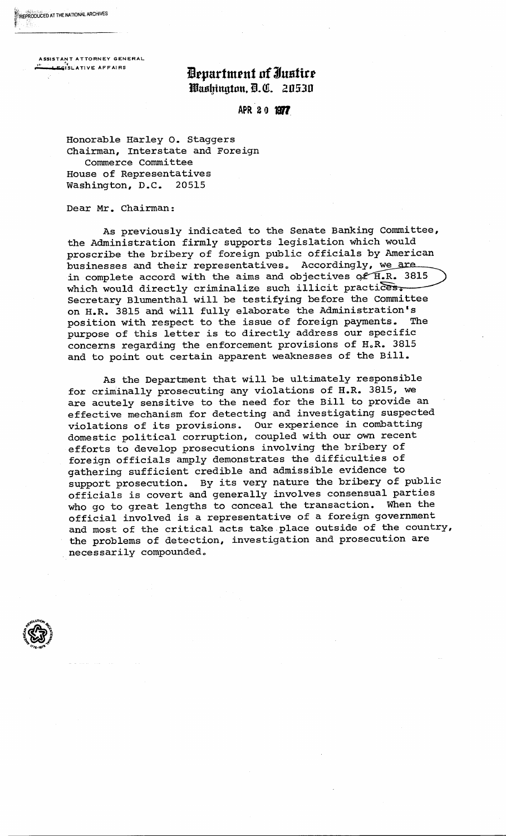ASSISTANT ATTORNEY GENERAL

 $R$ EPRODUCED AT THE NATIONAL ARCHIVES  $\sim$ 

## $\mathbf{E}$  . The extra set of  $\mathbf{B}$  . The  $\mathbf{H}$  of  $\mathbf{J}$ ustite Washington, D.C. 20530

APR 20 1977

Honorable Harley O. staggers Chairman, Interstate and Foreign Commerce Committee House of Representatives Washington, D.C. 20515

Dear Mr. Chairman:

As previously indicated to the Senate Banking Committee, the Administration firmly supports legislation which would proscribe the bribery of foreign public officials by American businesses and their representatives. Accordingly, we are in complete accord with the aims and objectives of  $\widehat{H_{\bullet}R_{\bullet}}$  3815 which would directly criminalize such illicit practices. Secretary Blumenthal will be testifying before the Committee on H.R. 3815 and will fully elaborate the Administration's<br>position with respect to the issue of foreign payments. The position with respect to the issue of foreign payments. purpose of this letter is to directly address our specific concerns regarding the enforcement provisions of H.R. 3815 and to point out certain apparent weaknesses of the Bill.

As the Department that will be ultimately responsible for criminally prosecuting any violations of H.R. 3815, we are acutely sensitive to the need for the Bill to provide an effective mechanism for detecting and investigating suspected violations of its provisions. Our experience in combatting domestic political corruption, coupled with our own recent efforts to develop prosecutions involving the bribery of foreign officials amply demonstrates the difficulties of gathering sufficient credible and admissible evidence to support prosecution. By its very nature the bribery of public officials is covert and generally involves consensual parties who go to great lengths to conceal the transaction. When the official involved is a representative of a foreign government and most of the critical acts take place outside of the country, the problems of detection, investigation and prosecution are necessarily compounded.

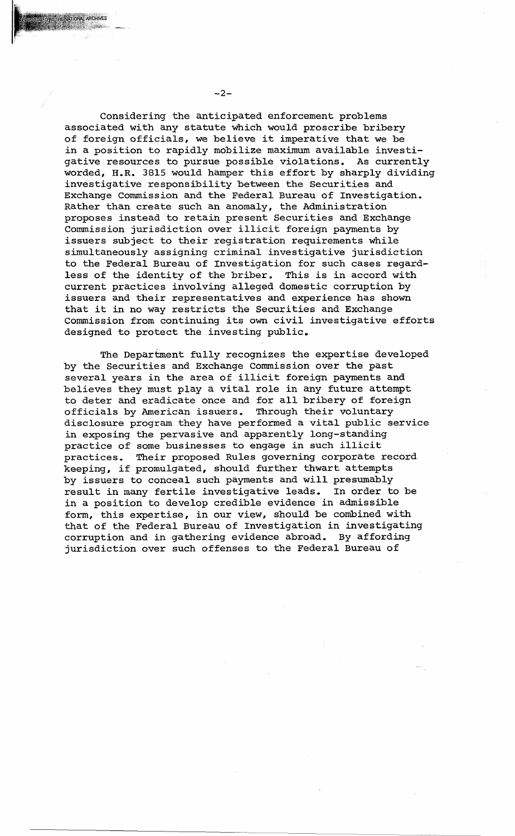Considering the anticipated enforcement problems associated with any statute which would proscribe bribery of foreign officials, we believe it imperative that we be in a position to rapidly mobilize maximum available investigative resources to pursue possible violations. As currently worded, H.R. 3815 would hamper this effort by sharply dividing investigative responsibility between the Securities and Exchange Commission and the Federal Bureau of Investigation. Rather than create such an anomaly, the Administration proposes instead to retain present Securities and Exchange Commission jurisdiction over illicit foreign payments by issuers subject to their registration requirements while simultaneously assigning criminal investigative jurisdiction to the Federal Bureau of Investigation for such cases regardless of the identity of the briber. This is in accord with current practices involving alleged domestic corruption by issuers and their representatives and experience has shown that it in no way restricts the Securities and Exchange Commission from continuing its own civil investigative efforts designed to protect the investing public.

The Department fully recognizes the expertise developed by the Securities and Exchange Commission over the past several years in the area of illicit foreign payments and believes they must play a vital role in any future attempt to deter and eradicate once and for all bribery of foreign officials by American issuers. Through their voluntary disclosure program they have performed a vital public service in exposing the pervasive and apparently long-standing practice of some businesses to engage in such illicit practices. Their proposed Rules governing corporate record keeping, if promulgated, should further thwart attempts by issuers to conceal such payments and will. presumably result in many fertile investigative leads. In order to be in a position to develop credible evidence in admissible form, this expertise, in our view, should be combined with that of the Federal Bureau of Investigation in investigating corruption and in gathering evidence abroad. By affording jurisdiction over such offenses to the Federal Bureau of

 $-2-$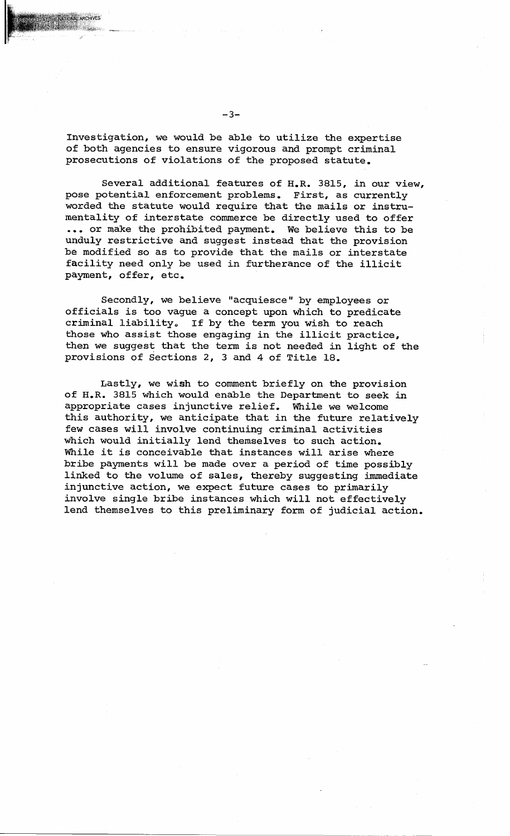Investigation, we would be able to utilize the expertise of both agencies to ensure vigorous and prompt criminal prosecutions of violations of the proposed statute.

Several additional features of H.R. 3815, in our view, pose potential enforcement problems. First, as currently worded the statute would require that the mails or instrumentality of interstate commerce be directly used to offer ... or make the prohibited payment. We believe this to be unduly restrictive and suggest instead that the provision be modified so as to provide that the mails or interstate facility need only be used in furtherance of the illicit payment, offer, etc.

Secondly, we believe "acquiesce" by employees or officials is too vague a concept upon which to predicate criminal liability. If by the term you wish to reach those who assist those engaging in the illicit practice, then we suggest that the term is not needed in light of the provisions of Sections 2, 3 and 4 of Title 18.

Lastly, we wish to comment briefly on the provision of H.R. 3815 which would enable the Department to seek in appropriate cases injunctive relief. While we welcome this authority, we anticipate that in the future relatively few cases will involve continuing criminal activities which would initially lend themselves to such action. While it is conceivable that instances will arise where bribe payments will be made over a period of time possibly linked to the volume of sales, thereby suggesting immediate injunctive action, we expect future cases to primarily involve single bribe instances which will not effectively lend themselves to this preliminary form of judicial action.